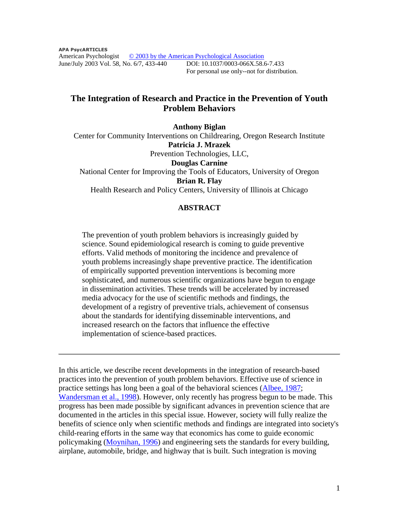**APA PsycARTICLES** American Psychologist [© 2003 by the American Psychological Association](http://www.apa.org/about/copyright.html) June/July 2003 Vol. 58, No. 6/7, 433-440 DOI: 10.1037/0003-066X.58.6-7.433 For personal use only--not for distribution.

## **The Integration of Research and Practice in the Prevention of Youth Problem Behaviors**

**Anthony Biglan** Center for Community Interventions on Childrearing, Oregon Research Institute **Patricia J. Mrazek** Prevention Technologies, LLC, **Douglas Carnine** National Center for Improving the Tools of Educators, University of Oregon **Brian R. Flay** Health Research and Policy Centers, University of Illinois at Chicago

#### **ABSTRACT**

The prevention of youth problem behaviors is increasingly guided by science. Sound epidemiological research is coming to guide preventive efforts. Valid methods of monitoring the incidence and prevalence of youth problems increasingly shape preventive practice. The identification of empirically supported prevention interventions is becoming more sophisticated, and numerous scientific organizations have begun to engage in dissemination activities. These trends will be accelerated by increased media advocacy for the use of scientific methods and findings, the development of a registry of preventive trials, achievement of consensus about the standards for identifying disseminable interventions, and increased research on the factors that influence the effective implementation of science-based practices.

In this article, we describe recent developments in the integration of research-based practices into the prevention of youth problem behaviors. Effective use of science in practice settings has long been a goal of the behavioral sciences [\(Albee, 1987;](http://spider.apa.org/psycarticles/display.cfm?doi=10.1037/#c1) [Wandersman et al., 1998\)](http://spider.apa.org/psycarticles/display.cfm?doi=10.1037/#c59). However, only recently has progress begun to be made. This progress has been made possible by significant advances in prevention science that are documented in the articles in this special issue. However, society will fully realize the benefits of science only when scientific methods and findings are integrated into society's child-rearing efforts in the same way that economics has come to guide economic policymaking [\(Moynihan, 1996\)](http://spider.apa.org/psycarticles/display.cfm?doi=10.1037/#c43) and engineering sets the standards for every building, airplane, automobile, bridge, and highway that is built. Such integration is moving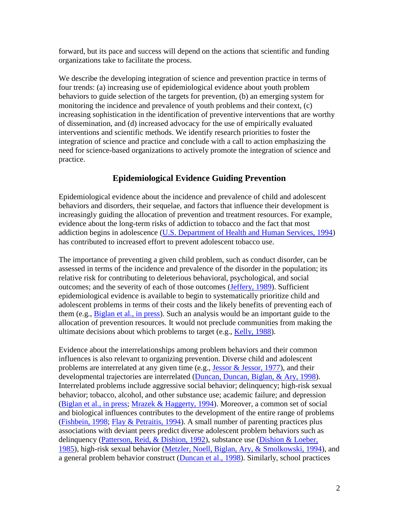forward, but its pace and success will depend on the actions that scientific and funding organizations take to facilitate the process.

We describe the developing integration of science and prevention practice in terms of four trends: (a) increasing use of epidemiological evidence about youth problem behaviors to guide selection of the targets for prevention, (b) an emerging system for monitoring the incidence and prevalence of youth problems and their context, (c) increasing sophistication in the identification of preventive interventions that are worthy of dissemination, and (d) increased advocacy for the use of empirically evaluated interventions and scientific methods. We identify research priorities to foster the integration of science and practice and conclude with a call to action emphasizing the need for science-based organizations to actively promote the integration of science and practice.

# **Epidemiological Evidence Guiding Prevention**

Epidemiological evidence about the incidence and prevalence of child and adolescent behaviors and disorders, their sequelae, and factors that influence their development is increasingly guiding the allocation of prevention and treatment resources. For example, evidence about the long-term risks of addiction to tobacco and the fact that most addiction begins in adolescence [\(U.S. Department of Health and Human Services, 1994\)](http://spider.apa.org/psycarticles/display.cfm?doi=10.1037/#c56) has contributed to increased effort to prevent adolescent tobacco use.

The importance of preventing a given child problem, such as conduct disorder, can be assessed in terms of the incidence and prevalence of the disorder in the population; its relative risk for contributing to deleterious behavioral, psychological, and social outcomes; and the severity of each of those outcomes [\(Jeffery, 1989\)](http://spider.apa.org/psycarticles/display.cfm?doi=10.1037/#c34). Sufficient epidemiological evidence is available to begin to systematically prioritize child and adolescent problems in terms of their costs and the likely benefits of preventing each of them (e.g., [Biglan et al., in press\)](http://spider.apa.org/psycarticles/display.cfm?doi=10.1037/#c7). Such an analysis would be an important guide to the allocation of prevention resources. It would not preclude communities from making the ultimate decisions about which problems to target (e.g., [Kelly, 1988\)](http://spider.apa.org/psycarticles/display.cfm?doi=10.1037/#c39).

Evidence about the interrelationships among problem behaviors and their common influences is also relevant to organizing prevention. Diverse child and adolescent problems are interrelated at any given time (e.g., [Jessor & Jessor, 1977\)](http://spider.apa.org/psycarticles/display.cfm?doi=10.1037/#c35), and their developmental trajectories are interrelated [\(Duncan, Duncan, Biglan, & Ary, 1998\)](http://spider.apa.org/psycarticles/display.cfm?doi=10.1037/#c17). Interrelated problems include aggressive social behavior; delinquency; high-risk sexual behavior; tobacco, alcohol, and other substance use; academic failure; and depression [\(Biglan et al., in press;](http://spider.apa.org/psycarticles/display.cfm?doi=10.1037/#c7) [Mrazek & Haggerty, 1994\)](http://spider.apa.org/psycarticles/display.cfm?doi=10.1037/#c46). Moreover, a common set of social and biological influences contributes to the development of the entire range of problems [\(Fishbein, 1998;](http://spider.apa.org/psycarticles/display.cfm?doi=10.1037/#c20) [Flay & Petraitis, 1994\)](http://spider.apa.org/psycarticles/display.cfm?doi=10.1037/#c23). A small number of parenting practices plus associations with deviant peers predict diverse adolescent problem behaviors such as delinquency [\(Patterson, Reid, & Dishion, 1992\)](http://spider.apa.org/psycarticles/display.cfm?doi=10.1037/#c48), substance use [\(Dishion & Loeber,](http://spider.apa.org/psycarticles/display.cfm?doi=10.1037/#c16)  [1985\)](http://spider.apa.org/psycarticles/display.cfm?doi=10.1037/#c16), high-risk sexual behavior [\(Metzler, Noell, Biglan, Ary, & Smolkowski, 1994\)](http://spider.apa.org/psycarticles/display.cfm?doi=10.1037/#c42), and a general problem behavior construct [\(Duncan et al., 1998\)](http://spider.apa.org/psycarticles/display.cfm?doi=10.1037/#c17). Similarly, school practices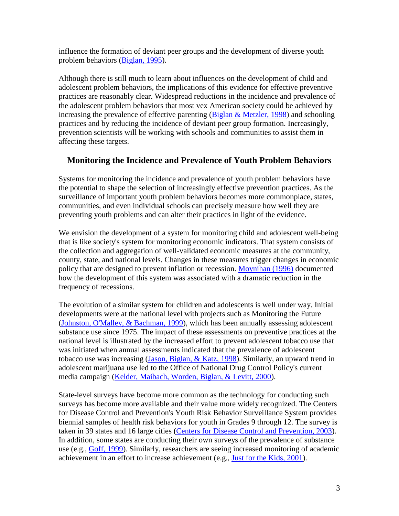influence the formation of deviant peer groups and the development of diverse youth problem behaviors [\(Biglan, 1995\)](http://spider.apa.org/psycarticles/display.cfm?doi=10.1037/#c3).

Although there is still much to learn about influences on the development of child and adolescent problem behaviors, the implications of this evidence for effective preventive practices are reasonably clear. Widespread reductions in the incidence and prevalence of the adolescent problem behaviors that most vex American society could be achieved by increasing the prevalence of effective parenting  $(Biglan \& Metzler, 1998)$  and schooling practices and by reducing the incidence of deviant peer group formation. Increasingly, prevention scientists will be working with schools and communities to assist them in affecting these targets.

# **Monitoring the Incidence and Prevalence of Youth Problem Behaviors**

Systems for monitoring the incidence and prevalence of youth problem behaviors have the potential to shape the selection of increasingly effective prevention practices. As the surveillance of important youth problem behaviors becomes more commonplace, states, communities, and even individual schools can precisely measure how well they are preventing youth problems and can alter their practices in light of the evidence.

We envision the development of a system for monitoring child and adolescent well-being that is like society's system for monitoring economic indicators. That system consists of the collection and aggregation of well-validated economic measures at the community, county, state, and national levels. Changes in these measures trigger changes in economic policy that are designed to prevent inflation or recession. [Moynihan \(1996\)](http://spider.apa.org/psycarticles/display.cfm?doi=10.1037/#c43) documented how the development of this system was associated with a dramatic reduction in the frequency of recessions.

The evolution of a similar system for children and adolescents is well under way. Initial developments were at the national level with projects such as Monitoring the Future [\(Johnston, O'Malley, & Bachman, 1999\)](http://spider.apa.org/psycarticles/display.cfm?doi=10.1037/#c36), which has been annually assessing adolescent substance use since 1975. The impact of these assessments on preventive practices at the national level is illustrated by the increased effort to prevent adolescent tobacco use that was initiated when annual assessments indicated that the prevalence of adolescent tobacco use was increasing [\(Jason, Biglan, & Katz, 1998\)](http://spider.apa.org/psycarticles/display.cfm?doi=10.1037/#c33). Similarly, an upward trend in adolescent marijuana use led to the Office of National Drug Control Policy's current media campaign [\(Kelder, Maibach, Worden, Biglan, & Levitt, 2000\)](http://spider.apa.org/psycarticles/display.cfm?doi=10.1037/#c38).

State-level surveys have become more common as the technology for conducting such surveys has become more available and their value more widely recognized. The Centers for Disease Control and Prevention's Youth Risk Behavior Surveillance System provides biennial samples of health risk behaviors for youth in Grades 9 through 12. The survey is taken in 39 states and 16 large cities [\(Centers for Disease Control and Prevention, 2003\)](http://spider.apa.org/psycarticles/display.cfm?doi=10.1037/#c13). In addition, some states are conducting their own surveys of the prevalence of substance use (e.g., [Goff, 1999\)](http://spider.apa.org/psycarticles/display.cfm?doi=10.1037/#c25). Similarly, researchers are seeing increased monitoring of academic achievement in an effort to increase achievement (e.g., [Just for the Kids, 2001\)](http://spider.apa.org/psycarticles/display.cfm?doi=10.1037/#c37).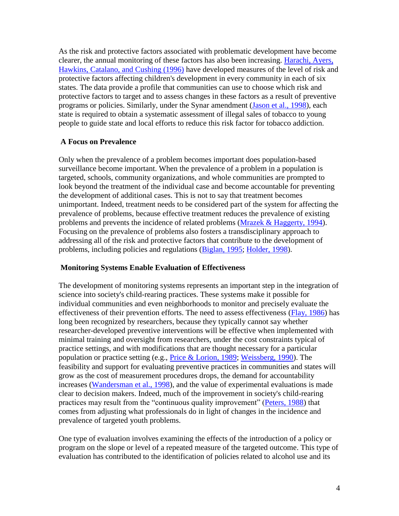As the risk and protective factors associated with problematic development have become clearer, the annual monitoring of these factors has also been increasing. [Harachi, Ayers,](http://spider.apa.org/psycarticles/display.cfm?doi=10.1037/#c27)  [Hawkins, Catalano, and Cushing \(1996\)](http://spider.apa.org/psycarticles/display.cfm?doi=10.1037/#c27) have developed measures of the level of risk and protective factors affecting children's development in every community in each of six states. The data provide a profile that communities can use to choose which risk and protective factors to target and to assess changes in these factors as a result of preventive programs or policies. Similarly, under the Synar amendment [\(Jason et al., 1998\)](http://spider.apa.org/psycarticles/display.cfm?doi=10.1037/#c33), each state is required to obtain a systematic assessment of illegal sales of tobacco to young people to guide state and local efforts to reduce this risk factor for tobacco addiction.

### **A Focus on Prevalence**

Only when the prevalence of a problem becomes important does population-based surveillance become important. When the prevalence of a problem in a population is targeted, schools, community organizations, and whole communities are prompted to look beyond the treatment of the individual case and become accountable for preventing the development of additional cases. This is not to say that treatment becomes unimportant. Indeed, treatment needs to be considered part of the system for affecting the prevalence of problems, because effective treatment reduces the prevalence of existing problems and prevents the incidence of related problems [\(Mrazek & Haggerty, 1994\)](http://spider.apa.org/psycarticles/display.cfm?doi=10.1037/#c46). Focusing on the prevalence of problems also fosters a transdisciplinary approach to addressing all of the risk and protective factors that contribute to the development of problems, including policies and regulations [\(Biglan, 1995;](http://spider.apa.org/psycarticles/display.cfm?doi=10.1037/#c3) [Holder, 1998\)](http://spider.apa.org/psycarticles/display.cfm?doi=10.1037/#c31).

#### **Monitoring Systems Enable Evaluation of Effectiveness**

The development of monitoring systems represents an important step in the integration of science into society's child-rearing practices. These systems make it possible for individual communities and even neighborhoods to monitor and precisely evaluate the effectiveness of their prevention efforts. The need to assess effectiveness [\(Flay, 1986\)](http://spider.apa.org/psycarticles/display.cfm?doi=10.1037/#c21) has long been recognized by researchers, because they typically cannot say whether researcher-developed preventive interventions will be effective when implemented with minimal training and oversight from researchers, under the cost constraints typical of practice settings, and with modifications that are thought necessary for a particular population or practice setting (e.g., [Price & Lorion, 1989;](http://spider.apa.org/psycarticles/display.cfm?doi=10.1037/#c51) [Weissberg, 1990\)](http://spider.apa.org/psycarticles/display.cfm?doi=10.1037/#c60). The feasibility and support for evaluating preventive practices in communities and states will grow as the cost of measurement procedures drops, the demand for accountability increases [\(Wandersman et al., 1998\)](http://spider.apa.org/psycarticles/display.cfm?doi=10.1037/#c59), and the value of experimental evaluations is made clear to decision makers. Indeed, much of the improvement in society's child-rearing practices may result from the "continuous quality improvement" [\(Peters, 1988\)](http://spider.apa.org/psycarticles/display.cfm?doi=10.1037/#c49) that comes from adjusting what professionals do in light of changes in the incidence and prevalence of targeted youth problems.

One type of evaluation involves examining the effects of the introduction of a policy or program on the slope or level of a repeated measure of the targeted outcome. This type of evaluation has contributed to the identification of policies related to alcohol use and its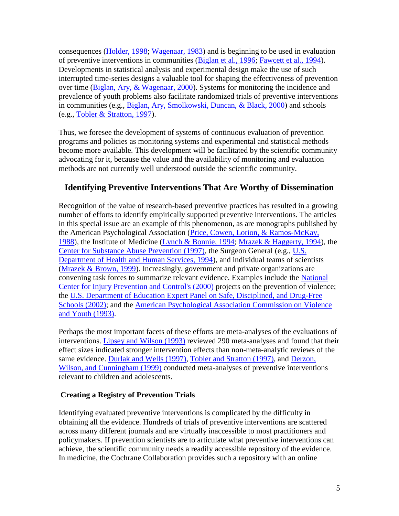consequences [\(Holder, 1998;](http://spider.apa.org/psycarticles/display.cfm?doi=10.1037/#c31) [Wagenaar, 1983\)](http://spider.apa.org/psycarticles/display.cfm?doi=10.1037/#c57) and is beginning to be used in evaluation of preventive interventions in communities [\(Biglan et al., 1996;](http://spider.apa.org/psycarticles/display.cfm?doi=10.1037/#c4) [Fawcett et al., 1994\)](http://spider.apa.org/psycarticles/display.cfm?doi=10.1037/#c19). Developments in statistical analysis and experimental design make the use of such interrupted time-series designs a valuable tool for shaping the effectiveness of prevention over time [\(Biglan, Ary, & Wagenaar, 2000\)](http://spider.apa.org/psycarticles/display.cfm?doi=10.1037/#c6). Systems for monitoring the incidence and prevalence of youth problems also facilitate randomized trials of preventive interventions in communities (e.g., [Biglan, Ary, Smolkowski, Duncan, & Black, 2000\)](http://spider.apa.org/psycarticles/display.cfm?doi=10.1037/#c5) and schools (e.g., [Tobler & Stratton, 1997\)](http://spider.apa.org/psycarticles/display.cfm?doi=10.1037/#c54).

Thus, we foresee the development of systems of continuous evaluation of prevention programs and policies as monitoring systems and experimental and statistical methods become more available. This development will be facilitated by the scientific community advocating for it, because the value and the availability of monitoring and evaluation methods are not currently well understood outside the scientific community.

# **Identifying Preventive Interventions That Are Worthy of Dissemination**

Recognition of the value of research-based preventive practices has resulted in a growing number of efforts to identify empirically supported preventive interventions. The articles in this special issue are an example of this phenomenon, as are monographs published by the American Psychological Association [\(Price, Cowen, Lorion, & Ramos-McKay,](http://spider.apa.org/psycarticles/display.cfm?doi=10.1037/#c50)  [1988\)](http://spider.apa.org/psycarticles/display.cfm?doi=10.1037/#c50), the Institute of Medicine [\(Lynch & Bonnie, 1994;](http://spider.apa.org/psycarticles/display.cfm?doi=10.1037/#c41) [Mrazek & Haggerty, 1994\)](http://spider.apa.org/psycarticles/display.cfm?doi=10.1037/#c46), the [Center for Substance Abuse Prevention \(1997\),](http://spider.apa.org/psycarticles/display.cfm?doi=10.1037/#c12) the Surgeon General (e.g., [U.S.](http://spider.apa.org/psycarticles/display.cfm?doi=10.1037/#c56)  [Department of Health and Human Services, 1994\)](http://spider.apa.org/psycarticles/display.cfm?doi=10.1037/#c56), and individual teams of scientists [\(Mrazek & Brown, 1999\)](http://spider.apa.org/psycarticles/display.cfm?doi=10.1037/#c45). Increasingly, government and private organizations are convening task forces to summarize relevant evidence. Examples include the [National](http://spider.apa.org/psycarticles/display.cfm?doi=10.1037/#c47)  [Center for Injury Prevention and Control's \(2000\)](http://spider.apa.org/psycarticles/display.cfm?doi=10.1037/#c47) projects on the prevention of violence; the [U.S. Department of Education Expert Panel on Safe, Disciplined, and Drug-Free](http://spider.apa.org/psycarticles/display.cfm?doi=10.1037/#c55)  [Schools \(2002\);](http://spider.apa.org/psycarticles/display.cfm?doi=10.1037/#c55) and the [American Psychological Association Commission on Violence](http://spider.apa.org/psycarticles/display.cfm?doi=10.1037/#c2)  [and Youth \(1993\).](http://spider.apa.org/psycarticles/display.cfm?doi=10.1037/#c2)

Perhaps the most important facets of these efforts are meta-analyses of the evaluations of interventions. [Lipsey and Wilson \(1993\)](http://spider.apa.org/psycarticles/display.cfm?doi=10.1037/#c40) reviewed 290 meta-analyses and found that their effect sizes indicated stronger intervention effects than non-meta-analytic reviews of the same evidence. [Durlak and Wells \(1997\),](http://spider.apa.org/psycarticles/display.cfm?doi=10.1037/#c18) [Tobler and Stratton \(1997\),](http://spider.apa.org/psycarticles/display.cfm?doi=10.1037/#c54) and [Derzon,](http://spider.apa.org/psycarticles/display.cfm?doi=10.1037/#c15)  [Wilson, and Cunningham \(1999\)](http://spider.apa.org/psycarticles/display.cfm?doi=10.1037/#c15) conducted meta-analyses of preventive interventions relevant to children and adolescents.

### **Creating a Registry of Prevention Trials**

Identifying evaluated preventive interventions is complicated by the difficulty in obtaining all the evidence. Hundreds of trials of preventive interventions are scattered across many different journals and are virtually inaccessible to most practitioners and policymakers. If prevention scientists are to articulate what preventive interventions can achieve, the scientific community needs a readily accessible repository of the evidence. In medicine, the Cochrane Collaboration provides such a repository with an online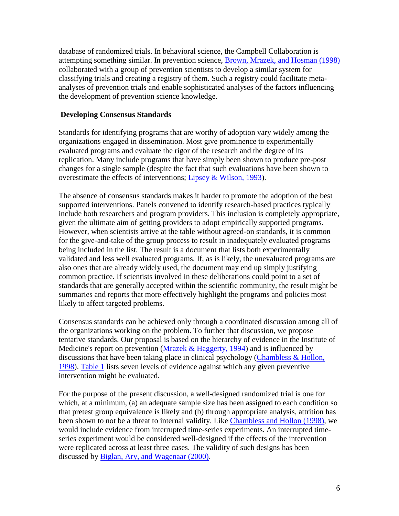database of randomized trials. In behavioral science, the Campbell Collaboration is attempting something similar. In prevention science, [Brown, Mrazek, and Hosman \(1998\)](http://spider.apa.org/psycarticles/display.cfm?doi=10.1037/#c11) collaborated with a group of prevention scientists to develop a similar system for classifying trials and creating a registry of them. Such a registry could facilitate metaanalyses of prevention trials and enable sophisticated analyses of the factors influencing the development of prevention science knowledge.

### **Developing Consensus Standards**

Standards for identifying programs that are worthy of adoption vary widely among the organizations engaged in dissemination. Most give prominence to experimentally evaluated programs and evaluate the rigor of the research and the degree of its replication. Many include programs that have simply been shown to produce pre-post changes for a single sample (despite the fact that such evaluations have been shown to overestimate the effects of interventions; [Lipsey & Wilson, 1993\)](http://spider.apa.org/psycarticles/display.cfm?doi=10.1037/#c40).

The absence of consensus standards makes it harder to promote the adoption of the best supported interventions. Panels convened to identify research-based practices typically include both researchers and program providers. This inclusion is completely appropriate, given the ultimate aim of getting providers to adopt empirically supported programs. However, when scientists arrive at the table without agreed-on standards, it is common for the give-and-take of the group process to result in inadequately evaluated programs being included in the list. The result is a document that lists both experimentally validated and less well evaluated programs. If, as is likely, the unevaluated programs are also ones that are already widely used, the document may end up simply justifying common practice. If scientists involved in these deliberations could point to a set of standards that are generally accepted within the scientific community, the result might be summaries and reports that more effectively highlight the programs and policies most likely to affect targeted problems.

Consensus standards can be achieved only through a coordinated discussion among all of the organizations working on the problem. To further that discussion, we propose tentative standards. Our proposal is based on the hierarchy of evidence in the Institute of Medicine's report on prevention (Mrazek  $&$  Haggerty, 1994) and is influenced by discussions that have been taking place in clinical psychology (Chambless  $&$  Hollon, [1998\)](http://spider.apa.org/psycarticles/display.cfm?doi=10.1037/#c14). [Table 1](http://spider.apa.org/psycarticles/display.cfm?doi=10.1037/#tbl1) lists seven levels of evidence against which any given preventive intervention might be evaluated.

For the purpose of the present discussion, a well-designed randomized trial is one for which, at a minimum, (a) an adequate sample size has been assigned to each condition so that pretest group equivalence is likely and (b) through appropriate analysis, attrition has been shown to not be a threat to internal validity. Like [Chambless and Hollon \(1998\),](http://spider.apa.org/psycarticles/display.cfm?doi=10.1037/#c14) we would include evidence from interrupted time-series experiments. An interrupted timeseries experiment would be considered well-designed if the effects of the intervention were replicated across at least three cases. The validity of such designs has been discussed by [Biglan, Ary, and Wagenaar \(2000\).](http://spider.apa.org/psycarticles/display.cfm?doi=10.1037/#c6)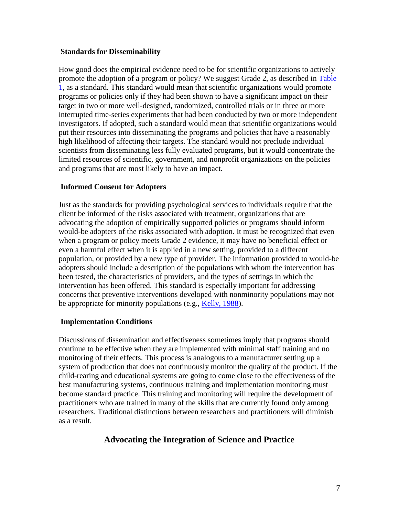#### **Standards for Disseminability**

How good does the empirical evidence need to be for scientific organizations to actively promote the adoption of a program or policy? We suggest Grade 2, as described in Table [1,](http://spider.apa.org/psycarticles/display.cfm?doi=10.1037/#tbl1) as a standard. This standard would mean that scientific organizations would promote programs or policies only if they had been shown to have a significant impact on their target in two or more well-designed, randomized, controlled trials or in three or more interrupted time-series experiments that had been conducted by two or more independent investigators. If adopted, such a standard would mean that scientific organizations would put their resources into disseminating the programs and policies that have a reasonably high likelihood of affecting their targets. The standard would not preclude individual scientists from disseminating less fully evaluated programs, but it would concentrate the limited resources of scientific, government, and nonprofit organizations on the policies and programs that are most likely to have an impact.

#### **Informed Consent for Adopters**

Just as the standards for providing psychological services to individuals require that the client be informed of the risks associated with treatment, organizations that are advocating the adoption of empirically supported policies or programs should inform would-be adopters of the risks associated with adoption. It must be recognized that even when a program or policy meets Grade 2 evidence, it may have no beneficial effect or even a harmful effect when it is applied in a new setting, provided to a different population, or provided by a new type of provider. The information provided to would-be adopters should include a description of the populations with whom the intervention has been tested, the characteristics of providers, and the types of settings in which the intervention has been offered. This standard is especially important for addressing concerns that preventive interventions developed with nonminority populations may not be appropriate for minority populations (e.g., [Kelly, 1988\)](http://spider.apa.org/psycarticles/display.cfm?doi=10.1037/#c39).

#### **Implementation Conditions**

Discussions of dissemination and effectiveness sometimes imply that programs should continue to be effective when they are implemented with minimal staff training and no monitoring of their effects. This process is analogous to a manufacturer setting up a system of production that does not continuously monitor the quality of the product. If the child-rearing and educational systems are going to come close to the effectiveness of the best manufacturing systems, continuous training and implementation monitoring must become standard practice. This training and monitoring will require the development of practitioners who are trained in many of the skills that are currently found only among researchers. Traditional distinctions between researchers and practitioners will diminish as a result.

# **Advocating the Integration of Science and Practice**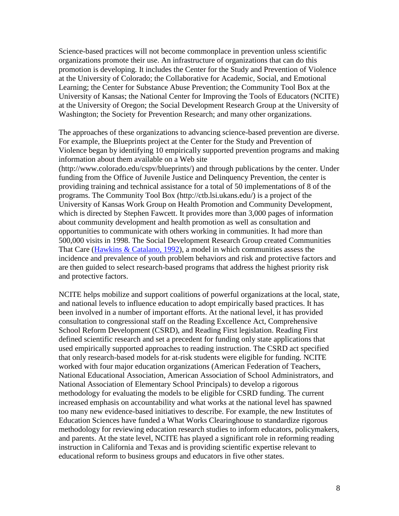Science-based practices will not become commonplace in prevention unless scientific organizations promote their use. An infrastructure of organizations that can do this promotion is developing. It includes the Center for the Study and Prevention of Violence at the University of Colorado; the Collaborative for Academic, Social, and Emotional Learning; the Center for Substance Abuse Prevention; the Community Tool Box at the University of Kansas; the National Center for Improving the Tools of Educators (NCITE) at the University of Oregon; the Social Development Research Group at the University of Washington; the Society for Prevention Research; and many other organizations.

The approaches of these organizations to advancing science-based prevention are diverse. For example, the Blueprints project at the Center for the Study and Prevention of Violence began by identifying 10 empirically supported prevention programs and making information about them available on a Web site

(http://www.colorado.edu/cspv/blueprints/) and through publications by the center. Under funding from the Office of Juvenile Justice and Delinquency Prevention, the center is providing training and technical assistance for a total of 50 implementations of 8 of the programs. The Community Tool Box (http://ctb.lsi.ukans.edu/) is a project of the University of Kansas Work Group on Health Promotion and Community Development, which is directed by Stephen Fawcett. It provides more than 3,000 pages of information about community development and health promotion as well as consultation and opportunities to communicate with others working in communities. It had more than 500,000 visits in 1998. The Social Development Research Group created Communities That Care [\(Hawkins & Catalano, 1992\)](http://spider.apa.org/psycarticles/display.cfm?doi=10.1037/#c29), a model in which communities assess the incidence and prevalence of youth problem behaviors and risk and protective factors and are then guided to select research-based programs that address the highest priority risk and protective factors.

NCITE helps mobilize and support coalitions of powerful organizations at the local, state, and national levels to influence education to adopt empirically based practices. It has been involved in a number of important efforts. At the national level, it has provided consultation to congressional staff on the Reading Excellence Act, Comprehensive School Reform Development (CSRD), and Reading First legislation. Reading First defined scientific research and set a precedent for funding only state applications that used empirically supported approaches to reading instruction. The CSRD act specified that only research-based models for at-risk students were eligible for funding. NCITE worked with four major education organizations (American Federation of Teachers, National Educational Association, American Association of School Administrators, and National Association of Elementary School Principals) to develop a rigorous methodology for evaluating the models to be eligible for CSRD funding. The current increased emphasis on accountability and what works at the national level has spawned too many new evidence-based initiatives to describe. For example, the new Institutes of Education Sciences have funded a What Works Clearinghouse to standardize rigorous methodology for reviewing education research studies to inform educators, policymakers, and parents. At the state level, NCITE has played a significant role in reforming reading instruction in California and Texas and is providing scientific expertise relevant to educational reform to business groups and educators in five other states.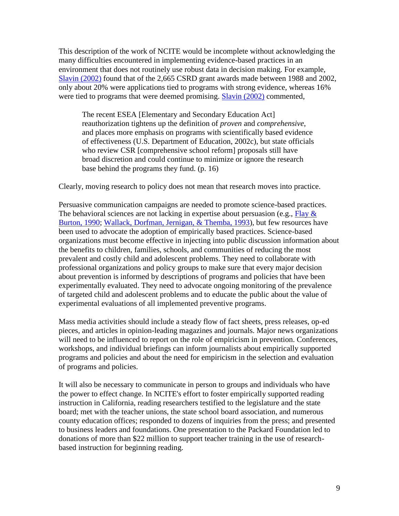This description of the work of NCITE would be incomplete without acknowledging the many difficulties encountered in implementing evidence-based practices in an environment that does not routinely use robust data in decision making. For example, [Slavin \(2002\)](http://spider.apa.org/psycarticles/display.cfm?doi=10.1037/#c53) found that of the 2,665 CSRD grant awards made between 1988 and 2002, only about 20% were applications tied to programs with strong evidence, whereas 16% were tied to programs that were deemed promising. [Slavin \(2002\)](http://spider.apa.org/psycarticles/display.cfm?doi=10.1037/#c53) commented,

The recent ESEA [Elementary and Secondary Education Act] reauthorization tightens up the definition of *proven* and *comprehensive*, and places more emphasis on programs with scientifically based evidence of effectiveness (U.S. Department of Education, 2002c), but state officials who review CSR [comprehensive school reform] proposals still have broad discretion and could continue to minimize or ignore the research base behind the programs they fund. (p. 16)

Clearly, moving research to policy does not mean that research moves into practice.

Persuasive communication campaigns are needed to promote science-based practices. The behavioral sciences are not lacking in expertise about persuasion (e.g., Flay  $\&$ [Burton, 1990;](http://spider.apa.org/psycarticles/display.cfm?doi=10.1037/#c22) [Wallack, Dorfman, Jernigan, & Themba, 1993\)](http://spider.apa.org/psycarticles/display.cfm?doi=10.1037/#c58), but few resources have been used to advocate the adoption of empirically based practices. Science-based organizations must become effective in injecting into public discussion information about the benefits to children, families, schools, and communities of reducing the most prevalent and costly child and adolescent problems. They need to collaborate with professional organizations and policy groups to make sure that every major decision about prevention is informed by descriptions of programs and policies that have been experimentally evaluated. They need to advocate ongoing monitoring of the prevalence of targeted child and adolescent problems and to educate the public about the value of experimental evaluations of all implemented preventive programs.

Mass media activities should include a steady flow of fact sheets, press releases, op-ed pieces, and articles in opinion-leading magazines and journals. Major news organizations will need to be influenced to report on the role of empiricism in prevention. Conferences, workshops, and individual briefings can inform journalists about empirically supported programs and policies and about the need for empiricism in the selection and evaluation of programs and policies.

It will also be necessary to communicate in person to groups and individuals who have the power to effect change. In NCITE's effort to foster empirically supported reading instruction in California, reading researchers testified to the legislature and the state board; met with the teacher unions, the state school board association, and numerous county education offices; responded to dozens of inquiries from the press; and presented to business leaders and foundations. One presentation to the Packard Foundation led to donations of more than \$22 million to support teacher training in the use of researchbased instruction for beginning reading.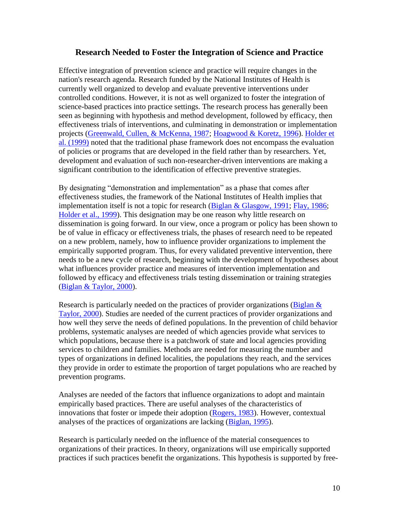### **Research Needed to Foster the Integration of Science and Practice**

Effective integration of prevention science and practice will require changes in the nation's research agenda. Research funded by the National Institutes of Health is currently well organized to develop and evaluate preventive interventions under controlled conditions. However, it is not as well organized to foster the integration of science-based practices into practice settings. The research process has generally been seen as beginning with hypothesis and method development, followed by efficacy, then effectiveness trials of interventions, and culminating in demonstration or implementation projects [\(Greenwald, Cullen, & McKenna, 1987;](http://spider.apa.org/psycarticles/display.cfm?doi=10.1037/#c26) [Hoagwood & Koretz, 1996\)](http://spider.apa.org/psycarticles/display.cfm?doi=10.1037/#c30). [Holder et](http://spider.apa.org/psycarticles/display.cfm?doi=10.1037/#c32)  [al. \(1999\)](http://spider.apa.org/psycarticles/display.cfm?doi=10.1037/#c32) noted that the traditional phase framework does not encompass the evaluation of policies or programs that are developed in the field rather than by researchers. Yet, development and evaluation of such non-researcher-driven interventions are making a significant contribution to the identification of effective preventive strategies.

By designating "demonstration and implementation" as a phase that comes after effectiveness studies, the framework of the National Institutes of Health implies that implementation itself is not a topic for research [\(Biglan & Glasgow, 1991;](http://spider.apa.org/psycarticles/display.cfm?doi=10.1037/#c8) [Flay, 1986;](http://spider.apa.org/psycarticles/display.cfm?doi=10.1037/#c21) [Holder et al., 1999\)](http://spider.apa.org/psycarticles/display.cfm?doi=10.1037/#c32). This designation may be one reason why little research on dissemination is going forward. In our view, once a program or policy has been shown to be of value in efficacy or effectiveness trials, the phases of research need to be repeated on a new problem, namely, how to influence provider organizations to implement the empirically supported program. Thus, for every validated preventive intervention, there needs to be a new cycle of research, beginning with the development of hypotheses about what influences provider practice and measures of intervention implementation and followed by efficacy and effectiveness trials testing dissemination or training strategies [\(Biglan & Taylor, 2000\)](http://spider.apa.org/psycarticles/display.cfm?doi=10.1037/#c10).

Research is particularly needed on the practices of provider organizations [\(Biglan &](http://spider.apa.org/psycarticles/display.cfm?doi=10.1037/#c10)  [Taylor, 2000\)](http://spider.apa.org/psycarticles/display.cfm?doi=10.1037/#c10). Studies are needed of the current practices of provider organizations and how well they serve the needs of defined populations. In the prevention of child behavior problems, systematic analyses are needed of which agencies provide what services to which populations, because there is a patchwork of state and local agencies providing services to children and families. Methods are needed for measuring the number and types of organizations in defined localities, the populations they reach, and the services they provide in order to estimate the proportion of target populations who are reached by prevention programs.

Analyses are needed of the factors that influence organizations to adopt and maintain empirically based practices. There are useful analyses of the characteristics of innovations that foster or impede their adoption [\(Rogers, 1983\)](http://spider.apa.org/psycarticles/display.cfm?doi=10.1037/#c52). However, contextual analyses of the practices of organizations are lacking [\(Biglan, 1995\)](http://spider.apa.org/psycarticles/display.cfm?doi=10.1037/#c3).

Research is particularly needed on the influence of the material consequences to organizations of their practices. In theory, organizations will use empirically supported practices if such practices benefit the organizations. This hypothesis is supported by free-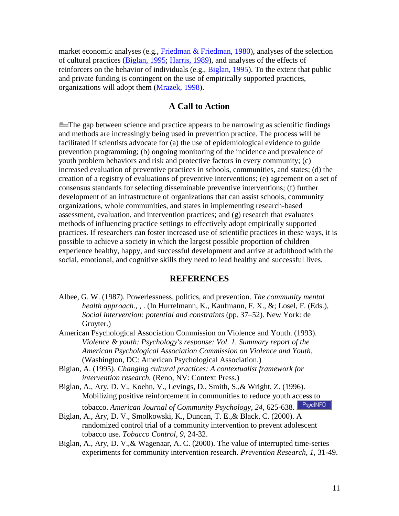market economic analyses (e.g., [Friedman & Friedman, 1980\)](http://spider.apa.org/psycarticles/display.cfm?doi=10.1037/#c24), analyses of the selection of cultural practices [\(Biglan, 1995;](http://spider.apa.org/psycarticles/display.cfm?doi=10.1037/#c3) [Harris, 1989\)](http://spider.apa.org/psycarticles/display.cfm?doi=10.1037/#c28), and analyses of the effects of reinforcers on the behavior of individuals (e.g., [Biglan, 1995\)](http://spider.apa.org/psycarticles/display.cfm?doi=10.1037/#c3). To the extent that public and private funding is contingent on the use of empirically supported practices, organizations will adopt them [\(Mrazek, 1998\)](http://spider.apa.org/psycarticles/display.cfm?doi=10.1037/#c44).

#### **A Call to Action**

[T](javascript:showCitation()he gap between science and practice appears to be narrowing as scientific findings and methods are increasingly being used in prevention practice. The process will be facilitated if scientists advocate for (a) the use of epidemiological evidence to guide prevention programming; (b) ongoing monitoring of the incidence and prevalence of youth problem behaviors and risk and protective factors in every community; (c) increased evaluation of preventive practices in schools, communities, and states; (d) the creation of a registry of evaluations of preventive interventions; (e) agreement on a set of consensus standards for selecting disseminable preventive interventions; (f) further development of an infrastructure of organizations that can assist schools, community organizations, whole communities, and states in implementing research-based assessment, evaluation, and intervention practices; and (g) research that evaluates methods of influencing practice settings to effectively adopt empirically supported practices. If researchers can foster increased use of scientific practices in these ways, it is possible to achieve a society in which the largest possible proportion of children experience healthy, happy, and successful development and arrive at adulthood with the social, emotional, and cognitive skills they need to lead healthy and successful lives.

#### **REFERENCES**

- Albee, G. W. (1987). Powerlessness, politics, and prevention. *The community mental health approach., , .* (In Hurrelmann, K., Kaufmann, F. X., &; Losel, F. (Eds.), *Social intervention: potential and constraints* (pp. 37–52). New York: de Gruyter.)
- American Psychological Association Commission on Violence and Youth. (1993). *Violence & youth: Psychology's response: Vol. 1. Summary report of the American Psychological Association Commission on Violence and Youth.* (Washington, DC: American Psychological Association.)
- Biglan, A. (1995). *Changing cultural practices: A contextualist framework for intervention research.* (Reno, NV: Context Press.)
- Biglan, A., Ary, D. V., Koehn, V., Levings, D., Smith, S.,& Wright, Z. (1996). Mobilizing positive reinforcement in communities to reduce youth access to

tobacco.*American Journal of Community Psychology, 24, 625-638*. **PsycINFO** 

- Biglan, A., Ary, D. V., Smolkowski, K., Duncan, T. E.,& Black, C. (2000). A randomized control trial of a community intervention to prevent adolescent tobacco use. *Tobacco Control, 9,* 24-32.
- Biglan, A., Ary, D. V.,& Wagenaar, A. C. (2000). The value of interrupted time-series experiments for community intervention research. *Prevention Research, 1,* 31-49.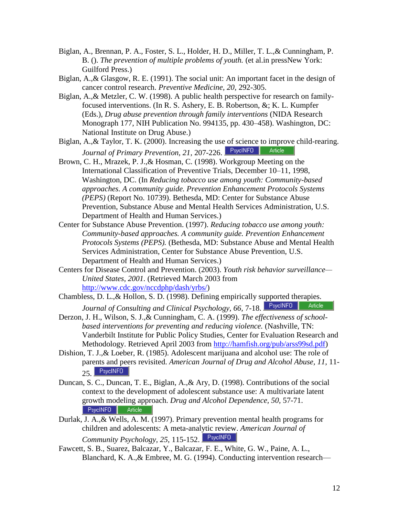- Biglan, A., Brennan, P. A., Foster, S. L., Holder, H. D., Miller, T. L.,& Cunningham, P. B. (). *The prevention of multiple problems of youth.* (et al.in pressNew York: Guilford Press.)
- Biglan, A.,& Glasgow, R. E. (1991). The social unit: An important facet in the design of cancer control research. *Preventive Medicine, 20,* 292-305.
- Biglan, A.,& Metzler, C. W. (1998). A public health perspective for research on familyfocused interventions. (In R. S. Ashery, E. B. Robertson, &; K. L. Kumpfer (Eds.), *Drug abuse prevention through family interventions* (NIDA Research Monograph 177, NIH Publication No. 994135, pp. 430–458). Washington, DC: National Institute on Drug Abuse.)
- Biglan, A.,& Taylor, T. K. (2000). Increasing the use of science to improve child-rearing. *Journal of Primary Prevention, 21,* 207-226. Article
- Brown, C. H., Mrazek, P. J.,& Hosman, C. (1998). Workgroup Meeting on the International Classification of Preventive Trials, December 10–11, 1998, Washington, DC. (In *Reducing tobacco use among youth: Community-based approaches. A community guide. Prevention Enhancement Protocols Systems (PEPS)* (Report No. 10739). Bethesda, MD: Center for Substance Abuse Prevention, Substance Abuse and Mental Health Services Administration, U.S. Department of Health and Human Services.)
- Center for Substance Abuse Prevention. (1997). *Reducing tobacco use among youth: Community-based approaches. A community guide. Prevention Enhancement Protocols Systems (PEPS).* (Bethesda, MD: Substance Abuse and Mental Health Services Administration, Center for Substance Abuse Prevention, U.S. Department of Health and Human Services.)
- Centers for Disease Control and Prevention. (2003). *Youth risk behavior surveillance— United States, 2001.* (Retrieved March 2003 from [http://www.cdc.gov/nccdphp/dash/yrbs/\)](http://www.cdc.gov/nccdphp/dash/yrbs/)
- Chambless, D. L.,& Hollon, S. D. (1998). Defining empirically supported therapies. Journalof Consulting and Clinical Psychology, 66, 7-18. PsycINFO Article
- Derzon, J. H., Wilson, S. J.,& Cunningham, C. A. (1999). *The effectiveness of schoolbased interventions for preventing and reducing violence.* (Nashville, TN: Vanderbilt Institute for Public Policy Studies, Center for Evaluation Research and Methodology. Retrieved April 2003 from [http://hamfish.org/pub/arss99sd.pdf\)](http://hamfish.org/pub/arss99sd.pdf)
- Dishion, T. J.,& Loeber, R. (1985). Adolescent marijuana and alcohol use: The role of parents and peers revisited. *American Journal of Drug and Alcohol Abuse, 11,* 11-  $25$ PsycINFO
- Duncan, S. C., Duncan, T. E., Biglan, A.,& Ary, D. (1998). Contributions of the social context to the development of adolescent substance use: A multivariate latent growth modeling approach. *Drug and Alcohol Dependence, 50,* 57-71. PsycINFO Article
- Durlak, J. A.,& Wells, A. M. (1997). Primary prevention mental health programs for children and adolescents: A meta-analytic review. *American Journal of Community Psychology, 25,* 115-152.
- Fawcett, S. B., Suarez, Balcazar, Y., Balcazar, F. E., White, G. W., Paine, A. L., Blanchard, K. A.,& Embree, M. G. (1994). Conducting intervention research—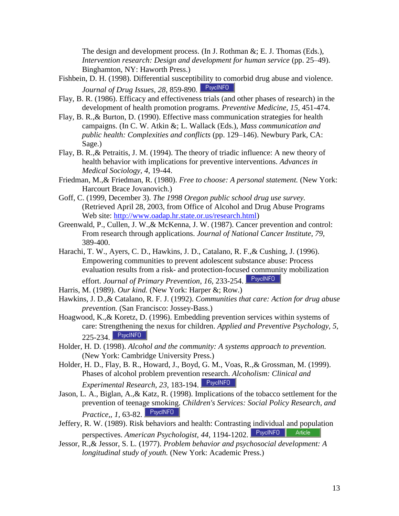The design and development process. (In J. Rothman &; E. J. Thomas (Eds.), *Intervention research: Design and development for human service* (pp. 25–49). Binghamton, NY: Haworth Press.)

- Fishbein, D. H. (1998). Differential susceptibility to comorbid drug abuse and violence. *Journal of Drug Issues, 28,* 859-890.
- Flay, B. R. (1986). Efficacy and effectiveness trials (and other phases of research) in the development of health promotion programs. *Preventive Medicine, 15,* 451-474.
- Flay, B. R.,& Burton, D. (1990). Effective mass communication strategies for health campaigns. (In C. W. Atkin &; L. Wallack (Eds.), *Mass communication and public health: Complexities and conflicts* (pp. 129–146). Newbury Park, CA: Sage.)
- Flay, B. R.,& Petraitis, J. M. (1994). The theory of triadic influence: A new theory of health behavior with implications for preventive interventions. *Advances in Medical Sociology, 4,* 19-44.
- Friedman, M.,& Friedman, R. (1980). *Free to choose: A personal statement.* (New York: Harcourt Brace Jovanovich.)
- Goff, C. (1999, December 3). *The 1998 Oregon public school drug use survey.* (Retrieved April 28, 2003, from Office of Alcohol and Drug Abuse Programs Web site: [http://www.oadap.hr.state.or.us/research.html\)](http://www.oadap.hr.state.or.us/research.html)
- Greenwald, P., Cullen, J. W.,& McKenna, J. W. (1987). Cancer prevention and control: From research through applications. *Journal of National Cancer Institute, 79,*  389-400.
- Harachi, T. W., Ayers, C. D., Hawkins, J. D., Catalano, R. F.,& Cushing, J. (1996). Empowering communities to prevent adolescent substance abuse: Process evaluation results from a risk- and protection-focused community mobilization

effort. *Journal of Primary Prevention, 16,* 233-254.

- Harris, M. (1989). *Our kind.* (New York: Harper &; Row.)
- Hawkins, J. D.,& Catalano, R. F. J. (1992). *Communities that care: Action for drug abuse prevention.* (San Francisco: Jossey-Bass.)
- Hoagwood, K.,& Koretz, D. (1996). Embedding prevention services within systems of care: Strengthening the nexus for children. *Applied and Preventive Psychology, 5,*  225-234.PsycINFO
- Holder, H. D. (1998). *Alcohol and the community: A systems approach to prevention.* (New York: Cambridge University Press.)
- Holder, H. D., Flay, B. R., Howard, J., Boyd, G. M., Voas, R.,& Grossman, M. (1999). Phases of alcohol problem prevention research. *Alcoholism: Clinical and Experimental Research, 23,* 183-194.
- Jason, L. A., Biglan, A.,& Katz, R. (1998). Implications of the tobacco settlement for the prevention of teenage smoking. *Children's Services: Social Policy Research, and Practice,,1, 63-82.* **PsycINFO**
- Jeffery, R. W. (1989). Risk behaviors and health: Contrasting individual and population perspectives. *American Psychologist, 44,* 1194-1202. - Article
- Jessor, R.,& Jessor, S. L. (1977). *Problem behavior and psychosocial development: A longitudinal study of youth.* (New York: Academic Press.)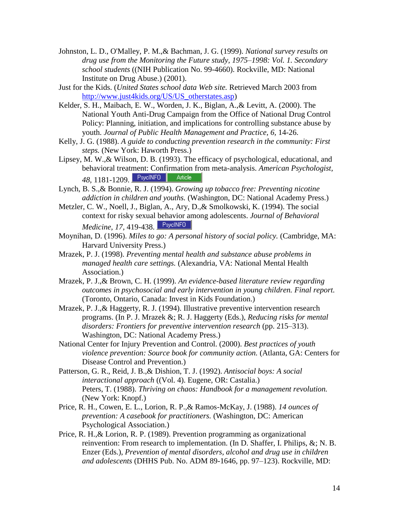- Johnston, L. D., O'Malley, P. M.,& Bachman, J. G. (1999). *National survey results on drug use from the Monitoring the Future study, 1975–1998: Vol. 1. Secondary school students* ((NIH Publication No. 99-4660). Rockville, MD: National Institute on Drug Abuse.) (2001).
- Just for the Kids. (*United States school data Web site.* Retrieved March 2003 from [http://www.just4kids.org/US/US\\_otherstates.asp\)](http://www.just4kids.org/US/US_otherstates.asp)
- Kelder, S. H., Maibach, E. W., Worden, J. K., Biglan, A.,& Levitt, A. (2000). The National Youth Anti-Drug Campaign from the Office of National Drug Control Policy: Planning, initiation, and implications for controlling substance abuse by youth. *Journal of Public Health Management and Practice, 6,* 14-26.
- Kelly, J. G. (1988). *A guide to conducting prevention research in the community: First steps.* (New York: Haworth Press.)
- Lipsey, M. W.,& Wilson, D. B. (1993). The efficacy of psychological, educational, and behavioral treatment: Confirmation from meta-analysis. *American Psychologist, 48,* 1181-1209.
- Lynch, B. S.,& Bonnie, R. J. (1994). *Growing up tobacco free: Preventing nicotine addiction in children and youths.* (Washington, DC: National Academy Press.)
- Metzler, C. W., Noell, J., Biglan, A., Ary, D.,& Smolkowski, K. (1994). The social context for risky sexual behavior among adolescents. *Journal of Behavioral Medicine, 17,* 419-438.
- Moynihan, D. (1996). *Miles to go: A personal history of social policy.* (Cambridge, MA: Harvard University Press.)
- Mrazek, P. J. (1998). *Preventing mental health and substance abuse problems in managed health care settings.* (Alexandria, VA: National Mental Health Association.)
- Mrazek, P. J.,& Brown, C. H. (1999). *An evidence-based literature review regarding outcomes in psychosocial and early intervention in young children. Final report.* (Toronto, Ontario, Canada: Invest in Kids Foundation.)
- Mrazek, P. J.,& Haggerty, R. J. (1994). Illustrative preventive intervention research programs. (In P. J. Mrazek &; R. J. Haggerty (Eds.), *Reducing risks for mental disorders: Frontiers for preventive intervention research* (pp. 215–313). Washington, DC: National Academy Press.)
- National Center for Injury Prevention and Control. (2000). *Best practices of youth violence prevention: Source book for community action.* (Atlanta, GA: Centers for Disease Control and Prevention.)
- Patterson, G. R., Reid, J. B.,& Dishion, T. J. (1992). *Antisocial boys: A social interactional approach* ((Vol. 4). Eugene, OR: Castalia.) Peters, T. (1988). *Thriving on chaos: Handbook for a management revolution.* (New York: Knopf.)
- Price, R. H., Cowen, E. L., Lorion, R. P.,& Ramos-McKay, J. (1988). *14 ounces of prevention: A casebook for practitioners.* (Washington, DC: American Psychological Association.)
- Price, R. H.,& Lorion, R. P. (1989). Prevention programming as organizational reinvention: From research to implementation. (In D. Shaffer, I. Philips, &; N. B. Enzer (Eds.), *Prevention of mental disorders, alcohol and drug use in children and adolescents* (DHHS Pub. No. ADM 89-1646, pp. 97–123). Rockville, MD: